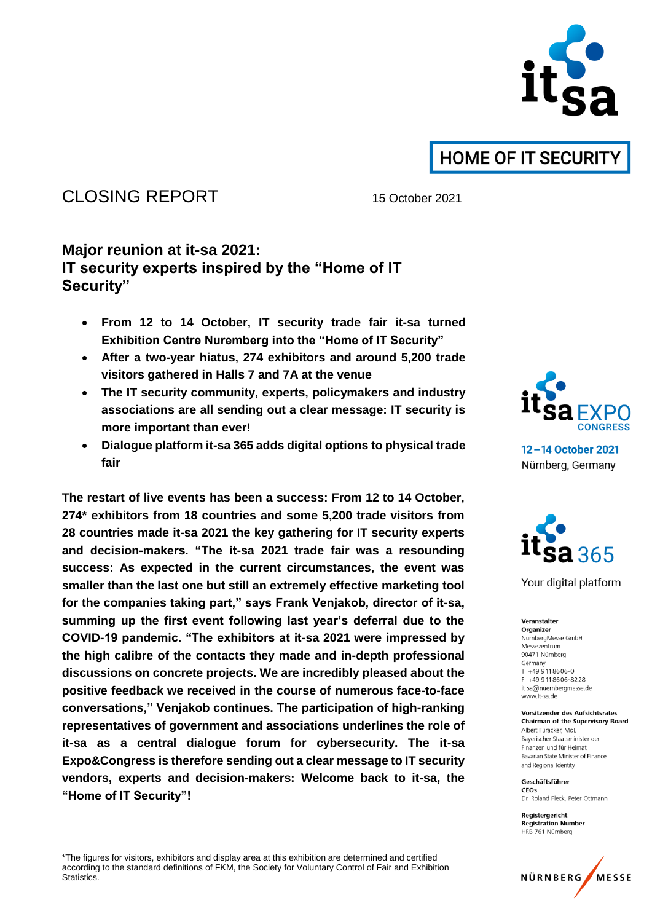

## CLOSING REPORT 15 October 2021

### **Major reunion at it-sa 2021: IT security experts inspired by the "Home of IT Security"**

- **From 12 to 14 October, IT security trade fair it-sa turned Exhibition Centre Nuremberg into the "Home of IT Security"**
- **After a two-year hiatus, 274 exhibitors and around 5,200 trade visitors gathered in Halls 7 and 7A at the venue**
- **The IT security community, experts, policymakers and industry associations are all sending out a clear message: IT security is more important than ever!**
- **Dialogue platform it-sa 365 adds digital options to physical trade fair**

**The restart of live events has been a success: From 12 to 14 October, 274\* exhibitors from 18 countries and some 5,200 trade visitors from 28 countries made it-sa 2021 the key gathering for IT security experts and decision-makers. "The it-sa 2021 trade fair was a resounding success: As expected in the current circumstances, the event was smaller than the last one but still an extremely effective marketing tool for the companies taking part," says Frank Venjakob, director of it-sa, summing up the first event following last year's deferral due to the COVID-19 pandemic. "The exhibitors at it-sa 2021 were impressed by the high calibre of the contacts they made and in-depth professional discussions on concrete projects. We are incredibly pleased about the positive feedback we received in the course of numerous face-to-face conversations," Venjakob continues. The participation of high-ranking representatives of government and associations underlines the role of it-sa as a central dialogue forum for cybersecurity. The it-sa Expo&Congress is therefore sending out a clear message to IT security vendors, experts and decision-makers: Welcome back to it-sa, the "Home of IT Security"!**



12-14 October 2021 Nürnberg, Germany



Your digital platform

Veranstalter Organizer NürnbergMesse GmbH Messezentrum 90471 Nürnberg Germany  $T + 499118606 - 0$ F +49 911 8606-8228 it-sa@nuernbergmesse.de www.it-sa.de

**Vorsitzender des Aufsichtsrates Chairman of the Supervisory Board** Albert Füracker MdL Bayerischer Staatsminister der Finanzen und für Heimat Bavarian State Minister of Finance and Regional Identity

Geschäftsführer CEOS Dr. Roland Fleck, Peter Ottmann

Registergericht **Registration Number** HRB 761 Nürnberg



\*The figures for visitors, exhibitors and display area at this exhibition are determined and certified according to the standard definitions of FKM, the Society for Voluntary Control of Fair and Exhibition Statistics.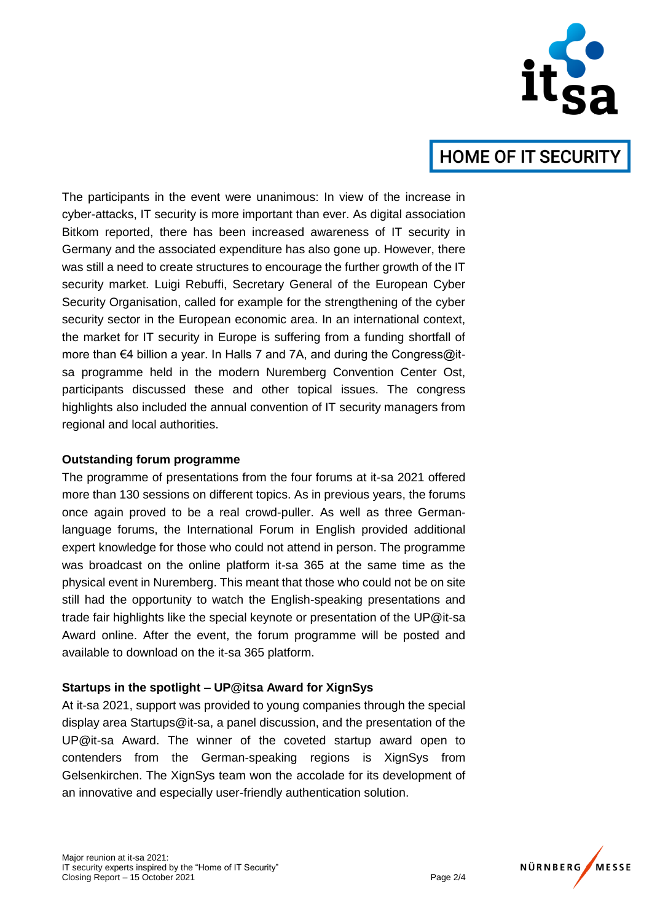

The participants in the event were unanimous: In view of the increase in cyber-attacks, IT security is more important than ever. As digital association Bitkom reported, there has been increased awareness of IT security in Germany and the associated expenditure has also gone up. However, there was still a need to create structures to encourage the further growth of the IT security market. Luigi Rebuffi, Secretary General of the European Cyber Security Organisation, called for example for the strengthening of the cyber security sector in the European economic area. In an international context, the market for IT security in Europe is suffering from a funding shortfall of more than €4 billion a year. In Halls 7 and 7A, and during the Congress@itsa programme held in the modern Nuremberg Convention Center Ost, participants discussed these and other topical issues. The congress highlights also included the annual convention of IT security managers from regional and local authorities.

#### **Outstanding forum programme**

The programme of presentations from the four forums at it-sa 2021 offered more than 130 sessions on different topics. As in previous years, the forums once again proved to be a real crowd-puller. As well as three Germanlanguage forums, the International Forum in English provided additional expert knowledge for those who could not attend in person. The programme was broadcast on the online platform it-sa 365 at the same time as the physical event in Nuremberg. This meant that those who could not be on site still had the opportunity to watch the English-speaking presentations and trade fair highlights like the special keynote or presentation of the UP@it-sa Award online. After the event, the forum programme will be posted and available to download on the it-sa 365 platform.

#### **Startups in the spotlight – UP@itsa Award for XignSys**

At it-sa 2021, support was provided to young companies through the special display area Startups@it-sa, a panel discussion, and the presentation of the UP@it-sa Award. The winner of the coveted startup award open to contenders from the German-speaking regions is XignSys from Gelsenkirchen. The XignSys team won the accolade for its development of an innovative and especially user-friendly authentication solution.

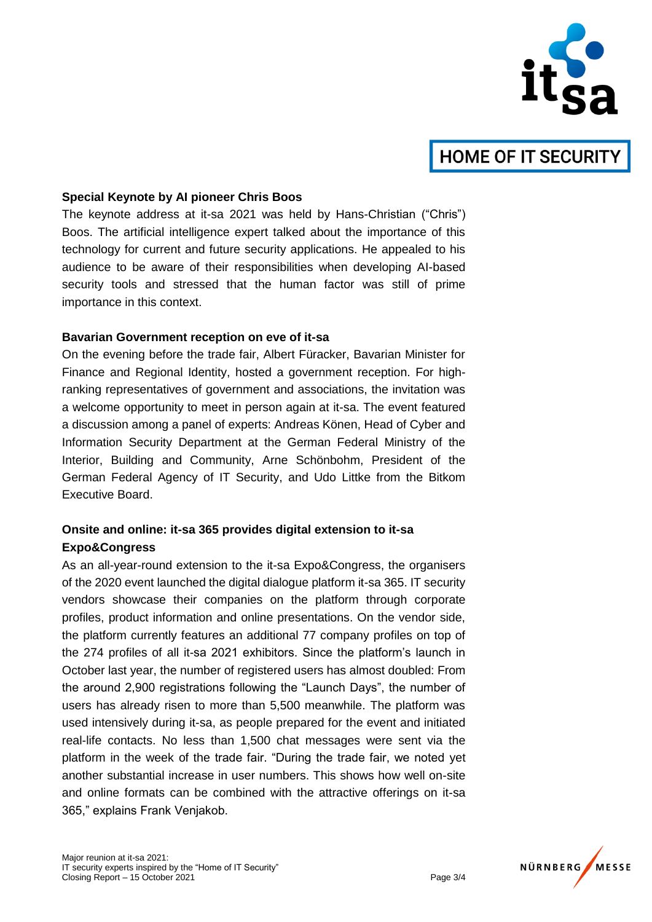

#### **Special Keynote by AI pioneer Chris Boos**

The keynote address at it-sa 2021 was held by Hans-Christian ("Chris") Boos. The artificial intelligence expert talked about the importance of this technology for current and future security applications. He appealed to his audience to be aware of their responsibilities when developing AI-based security tools and stressed that the human factor was still of prime importance in this context.

#### **Bavarian Government reception on eve of it-sa**

On the evening before the trade fair, Albert Füracker, Bavarian Minister for Finance and Regional Identity, hosted a government reception. For highranking representatives of government and associations, the invitation was a welcome opportunity to meet in person again at it-sa. The event featured a discussion among a panel of experts: Andreas Könen, Head of Cyber and Information Security Department at the German Federal Ministry of the Interior, Building and Community, Arne Schönbohm, President of the German Federal Agency of IT Security, and Udo Littke from the Bitkom Executive Board.

### **Onsite and online: it-sa 365 provides digital extension to it-sa Expo&Congress**

As an all-year-round extension to the it-sa Expo&Congress, the organisers of the 2020 event launched the digital dialogue platform it-sa 365. IT security vendors showcase their companies on the platform through corporate profiles, product information and online presentations. On the vendor side, the platform currently features an additional 77 company profiles on top of the 274 profiles of all it-sa 2021 exhibitors. Since the platform's launch in October last year, the number of registered users has almost doubled: From the around 2,900 registrations following the "Launch Days", the number of users has already risen to more than 5,500 meanwhile. The platform was used intensively during it-sa, as people prepared for the event and initiated real-life contacts. No less than 1,500 chat messages were sent via the platform in the week of the trade fair. "During the trade fair, we noted yet another substantial increase in user numbers. This shows how well on-site and online formats can be combined with the attractive offerings on it-sa 365," explains Frank Venjakob.